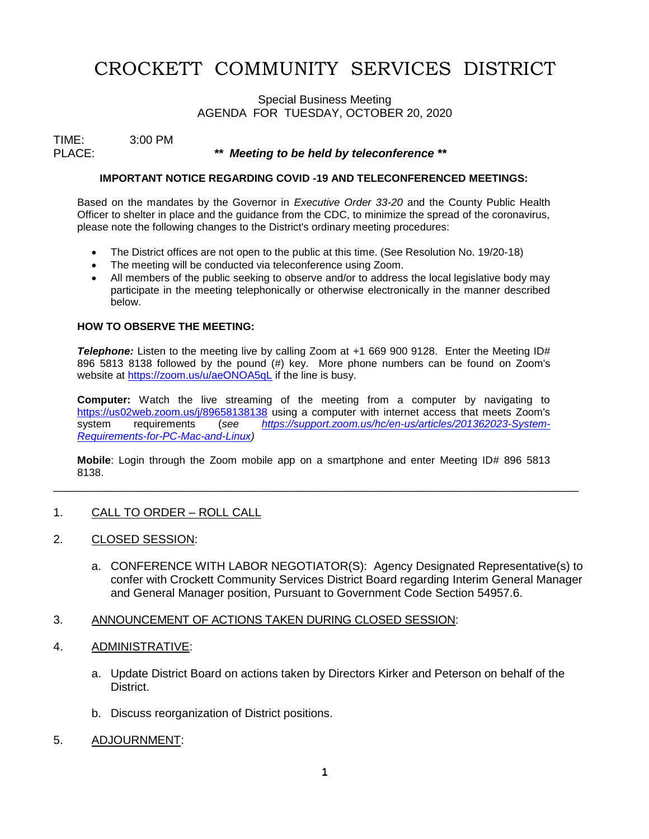# CROCKETT COMMUNITY SERVICES DISTRICT

## Special Business Meeting AGENDA FOR TUESDAY, OCTOBER 20, 2020

TIME: 3:00 PM<br>PLACE:

## \*\* Meeting to be held by teleconference \*\*

### **IMPORTANT NOTICE REGARDING COVID -19 AND TELECONFERENCED MEETINGS:**

Based on the mandates by the Governor in *Executive Order 33-20* and the County Public Health Officer to shelter in place and the guidance from the CDC, to minimize the spread of the coronavirus, please note the following changes to the District's ordinary meeting procedures:

- The District offices are not open to the public at this time. (See Resolution No. 19/20-18)
- The meeting will be conducted via teleconference using Zoom.
- All members of the public seeking to observe and/or to address the local legislative body may participate in the meeting telephonically or otherwise electronically in the manner described below.

### **HOW TO OBSERVE THE MEETING:**

**Telephone:** Listen to the meeting live by calling Zoom at +1 669 900 9128. Enter the Meeting ID# 896 5813 8138 followed by the pound (#) key. More phone numbers can be found on Zoom's website at<https://zoom.us/u/aeONOA5qL> if the line is busy.

**Computer:** Watch the live streaming of the meeting from a computer by navigating to <https://us02web.zoom.us/j/89658138138> using a computer with internet access that meets Zoom's system requirements (*see [https://support.zoom.us/hc/en-us/articles/201362023-System-](https://support.zoom.us/hc/en-us/articles/201362023-System-Requirements-for-PC-Mac-and-Linux)[Requirements-for-PC-Mac-and-Linux\)](https://support.zoom.us/hc/en-us/articles/201362023-System-Requirements-for-PC-Mac-and-Linux)*

**Mobile**: Login through the Zoom mobile app on a smartphone and enter Meeting ID# 896 5813 8138. \_\_\_\_\_\_\_\_\_\_\_\_\_\_\_\_\_\_\_\_\_\_\_\_\_\_\_\_\_\_\_\_\_\_\_\_\_\_\_\_\_\_\_\_\_\_\_\_\_\_\_\_\_\_\_\_\_\_\_\_\_\_\_\_\_\_\_\_\_\_\_\_\_\_\_\_\_\_\_\_\_

## 1. CALL TO ORDER – ROLL CALL

- 2. CLOSED SESSION:
	- a. CONFERENCE WITH LABOR NEGOTIATOR(S): Agency Designated Representative(s) to confer with Crockett Community Services District Board regarding Interim General Manager and General Manager position, Pursuant to Government Code Section 54957.6.

## 3. ANNOUNCEMENT OF ACTIONS TAKEN DURING CLOSED SESSION:

## 4. ADMINISTRATIVE:

- a. Update District Board on actions taken by Directors Kirker and Peterson on behalf of the District.
- b. Discuss reorganization of District positions.
- 5. ADJOURNMENT: